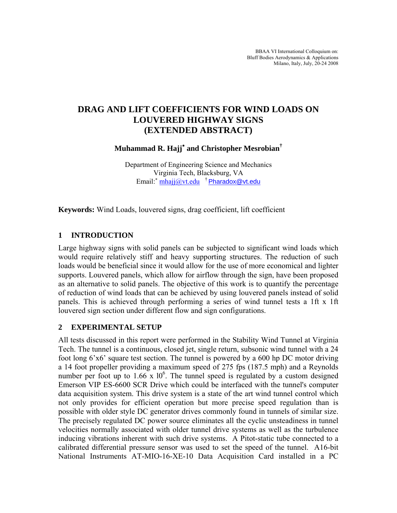# **DRAG AND LIFT COEFFICIENTS FOR WIND LOADS ON LOUVERED HIGHWAY SIGNS (EXTENDED ABSTRACT)**

**Muhammad R. Hajj**<sup>∗</sup>  **and Christopher Mesrobian†**

Department of Engineering Science and Mechanics Virginia Tech, Blacksburg, VA Email:<sup>∗</sup> mhajj@vt.edu † Pharadox@vt.edu

**Keywords:** Wind Loads, louvered signs, drag coefficient, lift coefficient

## **1 INTRODUCTION**

Large highway signs with solid panels can be subjected to significant wind loads which would require relatively stiff and heavy supporting structures. The reduction of such loads would be beneficial since it would allow for the use of more economical and lighter supports. Louvered panels, which allow for airflow through the sign, have been proposed as an alternative to solid panels. The objective of this work is to quantify the percentage of reduction of wind loads that can be achieved by using louvered panels instead of solid panels. This is achieved through performing a series of wind tunnel tests a 1ft x 1ft louvered sign section under different flow and sign configurations.

### **2 EXPERIMENTAL SETUP**

All tests discussed in this report were performed in the Stability Wind Tunnel at Virginia Tech. The tunnel is a continuous, closed jet, single return, subsonic wind tunnel with a 24 foot long 6'x6' square test section. The tunnel is powered by a 600 hp DC motor driving a 14 foot propeller providing a maximum speed of 275 fps (187.5 mph) and a Reynolds number per foot up to  $1.66 \times 10^6$ . The tunnel speed is regulated by a custom designed Emerson VIP ES-6600 SCR Drive which could be interfaced with the tunnel's computer data acquisition system. This drive system is a state of the art wind tunnel control which not only provides for efficient operation but more precise speed regulation than is possible with older style DC generator drives commonly found in tunnels of similar size. The precisely regulated DC power source eliminates all the cyclic unsteadiness in tunnel velocities normally associated with older tunnel drive systems as well as the turbulence inducing vibrations inherent with such drive systems. A Pitot-static tube connected to a calibrated differential pressure sensor was used to set the speed of the tunnel. A16-bit National Instruments AT-MIO-16-XE-10 Data Acquisition Card installed in a PC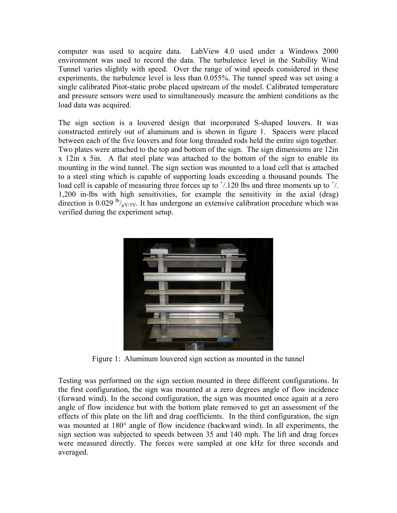computer was used to acquire data. LabView 4.0 used under a Windows 2000 environment was used to record the data. The turbulence level in the Stability Wind Tunnel varies slightly with speed. Over the range of wind speeds considered in these experiments, the turbulence level is less than 0.055%. The tunnel speed was set using a single calibrated Pitot-static probe placed upstream of the model. Calibrated temperature and pressure sensors were used to simultaneously measure the ambient conditions as the load data was acquired.

The sign section is a louvered design that incorporated S-shaped louvers. It was constructed entirely out of aluminum and is shown in figure 1. Spacers were placed between each of the five louvers and four long threaded rods held the entire sign together. Two plates were attached to the top and bottom of the sign. The sign dimensions are 12in x 12in x 5in. A flat steel plate was attached to the bottom of the sign to enable its mounting in the wind tunnel. The sign section was mounted to a load cell that is attached to a steel sting which is capable of supporting loads exceeding a thousand pounds. The load cell is capable of measuring three forces up to  $\frac{1}{2}$  lbs and three moments up to  $\frac{1}{2}$ . 1,200 in-lbs with high sensitivities, for example the sensitivity in the axial (drag) direction is 0.029  $\frac{lb}{\mu V/5V}$ . It has undergone an extensive calibration procedure which was verified during the experiment setup.



Figure 1: Aluminum louvered sign section as mounted in the tunnel

Testing was performed on the sign section mounted in three different configurations. In the first configuration, the sign was mounted at a zero degrees angle of flow incidence (forward wind). In the second configuration, the sign was mounted once again at a zero angle of flow incidence but with the bottom plate removed to get an assessment of the effects of this plate on the lift and drag coefficients. In the third configuration, the sign was mounted at 180° angle of flow incidence (backward wind). In all experiments, the sign section was subjected to speeds between 35 and 140 mph. The lift and drag forces were measured directly. The forces were sampled at one kHz for three seconds and averaged.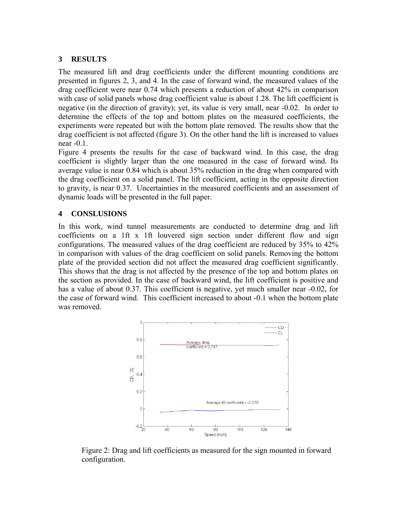#### **3 RESULTS**

The measured lift and drag coefficients under the different mounting conditions are presented in figures 2, 3, and 4. In the case of forward wind, the measured values of the drag coefficient were near 0.74 which presents a reduction of about 42% in comparison with case of solid panels whose drag coefficient value is about 1.28. The lift coefficient is negative (in the direction of gravity); yet, its value is very small, near -0.02. In order to determine the effects of the top and bottom plates on the measured coefficients, the experiments were repeated but with the bottom plate removed. The results show that the drag coefficient is not affected (figure 3). On the other hand the lift is increased to values near -0.1.

Figure 4 presents the results for the case of backward wind. In this case, the drag coefficient is slightly larger than the one measured in the case of forward wind. Its average value is near 0.84 which is about 35% reduction in the drag when compared with the drag coefficient on a solid panel. The lift coefficient, acting in the opposite direction to gravity, is near 0.37. Uncertainties in the measured coefficients and an assessment of dynamic loads will be presented in the full paper.

### **4 CONSLUSIONS**

In this work, wind tunnel measurements are conducted to determine drag and lift coefficients on a 1ft x 1ft louvered sign section under different flow and sign configurations. The measured values of the drag coefficient are reduced by 35% to 42% in comparison with values of the drag coefficient on solid panels. Removing the bottom plate of the provided section did not affect the measured drag coefficient significantly. This shows that the drag is not affected by the presence of the top and bottom plates on the section as provided. In the case of backward wind, the lift coefficient is positive and has a value of about 0.37. This coefficient is negative, yet much smaller near -0.02, for the case of forward wind. This coefficient increased to about -0.1 when the bottom plate was removed.



Figure 2: Drag and lift coefficients as measured for the sign mounted in forward configuration.